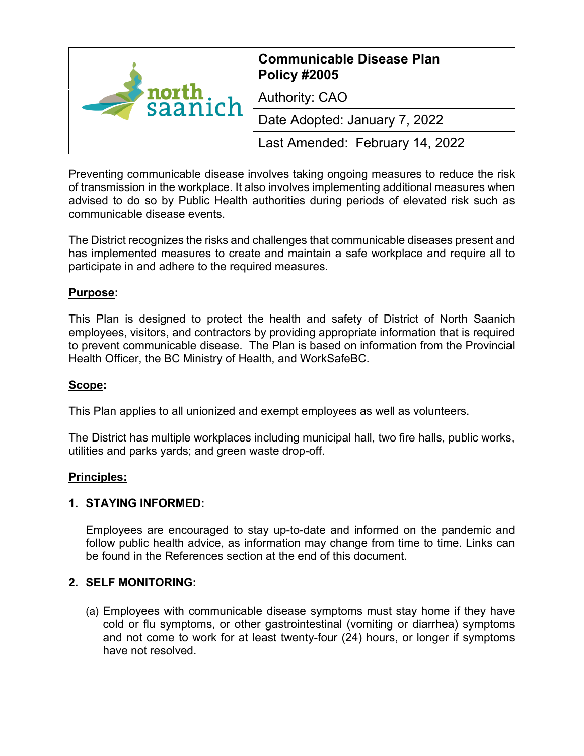| $\blacktriangleright$ north<br>saanich<br>$\overline{\phantom{0}}$ | <b>Communicable Disease Plan</b><br><b>Policy #2005</b> |
|--------------------------------------------------------------------|---------------------------------------------------------|
|                                                                    | <b>Authority: CAO</b>                                   |
|                                                                    | Date Adopted: January 7, 2022                           |
|                                                                    | Last Amended: February 14, 2022                         |

Preventing communicable disease involves taking ongoing measures to reduce the risk of transmission in the workplace. It also involves implementing additional measures when advised to do so by Public Health authorities during periods of elevated risk such as communicable disease events.

The District recognizes the risks and challenges that communicable diseases present and has implemented measures to create and maintain a safe workplace and require all to participate in and adhere to the required measures.

## **Purpose:**

This Plan is designed to protect the health and safety of District of North Saanich employees, visitors, and contractors by providing appropriate information that is required to prevent communicable disease. The Plan is based on information from the Provincial Health Officer, the BC Ministry of Health, and WorkSafeBC.

## **Scope:**

This Plan applies to all unionized and exempt employees as well as volunteers.

The District has multiple workplaces including municipal hall, two fire halls, public works, utilities and parks yards; and green waste drop-off.

## **Principles:**

## **1. STAYING INFORMED:**

Employees are encouraged to stay up-to-date and informed on the pandemic and follow public health advice, as information may change from time to time. Links can be found in the References section at the end of this document.

## **2. SELF MONITORING:**

(a) Employees with communicable disease symptoms must stay home if they have cold or flu symptoms, or other gastrointestinal (vomiting or diarrhea) symptoms and not come to work for at least twenty-four (24) hours, or longer if symptoms have not resolved.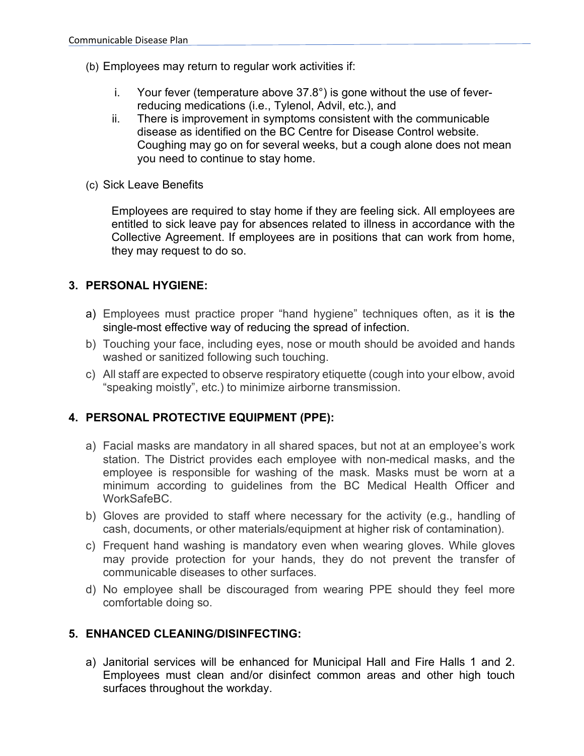- (b) Employees may return to regular work activities if:
	- i. Your fever (temperature above 37.8°) is gone without the use of feverreducing medications (i.e., Tylenol, Advil, etc.), and
	- ii. There is improvement in symptoms consistent with the communicable disease as identified on the BC Centre for Disease Control website. Coughing may go on for several weeks, but a cough alone does not mean you need to continue to stay home.
- (c) Sick Leave Benefits

Employees are required to stay home if they are feeling sick. All employees are entitled to sick leave pay for absences related to illness in accordance with the Collective Agreement. If employees are in positions that can work from home, they may request to do so.

# **3. PERSONAL HYGIENE:**

- a) Employees must practice proper "hand hygiene" techniques often, as it is the single-most effective way of reducing the spread of infection.
- b) Touching your face, including eyes, nose or mouth should be avoided and hands washed or sanitized following such touching.
- c) All staff are expected to observe respiratory etiquette (cough into your elbow, avoid "speaking moistly", etc.) to minimize airborne transmission.

# **4. PERSONAL PROTECTIVE EQUIPMENT (PPE):**

- a) Facial masks are mandatory in all shared spaces, but not at an employee's work station. The District provides each employee with non-medical masks, and the employee is responsible for washing of the mask. Masks must be worn at a minimum according to guidelines from the BC Medical Health Officer and WorkSafeBC.
- b) Gloves are provided to staff where necessary for the activity (e.g., handling of cash, documents, or other materials/equipment at higher risk of contamination).
- c) Frequent hand washing is mandatory even when wearing gloves. While gloves may provide protection for your hands, they do not prevent the transfer of communicable diseases to other surfaces.
- d) No employee shall be discouraged from wearing PPE should they feel more comfortable doing so.

# **5. ENHANCED CLEANING/DISINFECTING:**

a) Janitorial services will be enhanced for Municipal Hall and Fire Halls 1 and 2. Employees must clean and/or disinfect common areas and other high touch surfaces throughout the workday.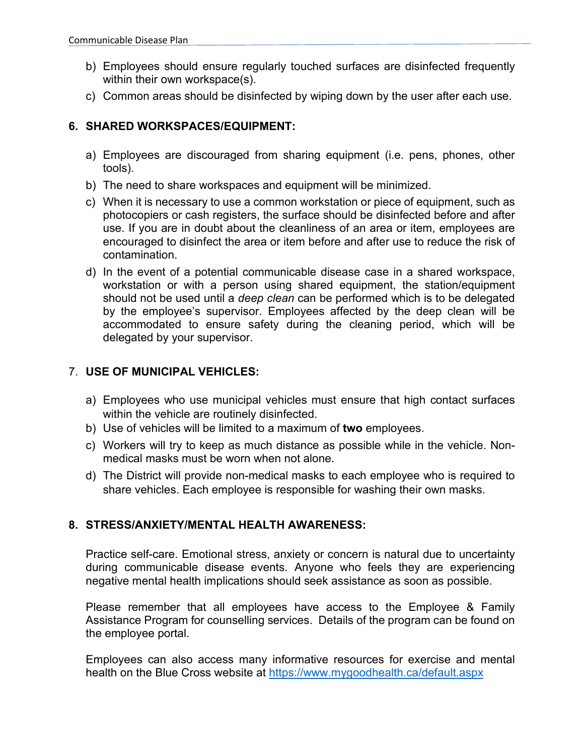- b) Employees should ensure regularly touched surfaces are disinfected frequently within their own workspace(s).
- c) Common areas should be disinfected by wiping down by the user after each use.

# **6. SHARED WORKSPACES/EQUIPMENT:**

- a) Employees are discouraged from sharing equipment (i.e. pens, phones, other tools).
- b) The need to share workspaces and equipment will be minimized.
- c) When it is necessary to use a common workstation or piece of equipment, such as photocopiers or cash registers, the surface should be disinfected before and after use. If you are in doubt about the cleanliness of an area or item, employees are encouraged to disinfect the area or item before and after use to reduce the risk of contamination.
- d) In the event of a potential communicable disease case in a shared workspace, workstation or with a person using shared equipment, the station/equipment should not be used until a *deep clean* can be performed which is to be delegated by the employee's supervisor. Employees affected by the deep clean will be accommodated to ensure safety during the cleaning period, which will be delegated by your supervisor.

# 7. **USE OF MUNICIPAL VEHICLES:**

- a) Employees who use municipal vehicles must ensure that high contact surfaces within the vehicle are routinely disinfected.
- b) Use of vehicles will be limited to a maximum of **two** employees.
- c) Workers will try to keep as much distance as possible while in the vehicle. Nonmedical masks must be worn when not alone.
- d) The District will provide non-medical masks to each employee who is required to share vehicles. Each employee is responsible for washing their own masks.

# **8. STRESS/ANXIETY/MENTAL HEALTH AWARENESS:**

Practice self-care. Emotional stress, anxiety or concern is natural due to uncertainty during communicable disease events. Anyone who feels they are experiencing negative mental health implications should seek assistance as soon as possible.

Please remember that all employees have access to the Employee & Family Assistance Program for counselling services. Details of the program can be found on the employee portal.

Employees can also access many informative resources for exercise and mental health on the Blue Cross website at<https://www.mygoodhealth.ca/default.aspx>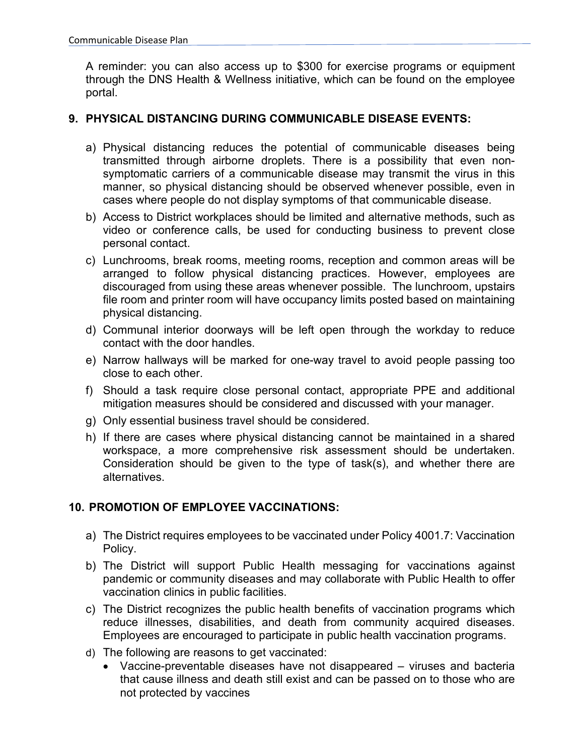A reminder: you can also access up to \$300 for exercise programs or equipment through the DNS Health & Wellness initiative, which can be found on the employee portal.

## **9. PHYSICAL DISTANCING DURING COMMUNICABLE DISEASE EVENTS:**

- a) Physical distancing reduces the potential of communicable diseases being transmitted through airborne droplets. There is a possibility that even nonsymptomatic carriers of a communicable disease may transmit the virus in this manner, so physical distancing should be observed whenever possible, even in cases where people do not display symptoms of that communicable disease.
- b) Access to District workplaces should be limited and alternative methods, such as video or conference calls, be used for conducting business to prevent close personal contact.
- c) Lunchrooms, break rooms, meeting rooms, reception and common areas will be arranged to follow physical distancing practices. However, employees are discouraged from using these areas whenever possible. The lunchroom, upstairs file room and printer room will have occupancy limits posted based on maintaining physical distancing.
- d) Communal interior doorways will be left open through the workday to reduce contact with the door handles.
- e) Narrow hallways will be marked for one-way travel to avoid people passing too close to each other.
- f) Should a task require close personal contact, appropriate PPE and additional mitigation measures should be considered and discussed with your manager.
- g) Only essential business travel should be considered.
- h) If there are cases where physical distancing cannot be maintained in a shared workspace, a more comprehensive risk assessment should be undertaken. Consideration should be given to the type of task(s), and whether there are alternatives.

# **10. PROMOTION OF EMPLOYEE VACCINATIONS:**

- a) The District requires employees to be vaccinated under Policy 4001.7: Vaccination Policy.
- b) The District will support Public Health messaging for vaccinations against pandemic or community diseases and may collaborate with Public Health to offer vaccination clinics in public facilities.
- c) The District recognizes the public health benefits of vaccination programs which reduce illnesses, disabilities, and death from community acquired diseases. Employees are encouraged to participate in public health vaccination programs.
- d) The following are reasons to get vaccinated:
	- Vaccine-preventable diseases have not disappeared viruses and bacteria that cause illness and death still exist and can be passed on to those who are not protected by vaccines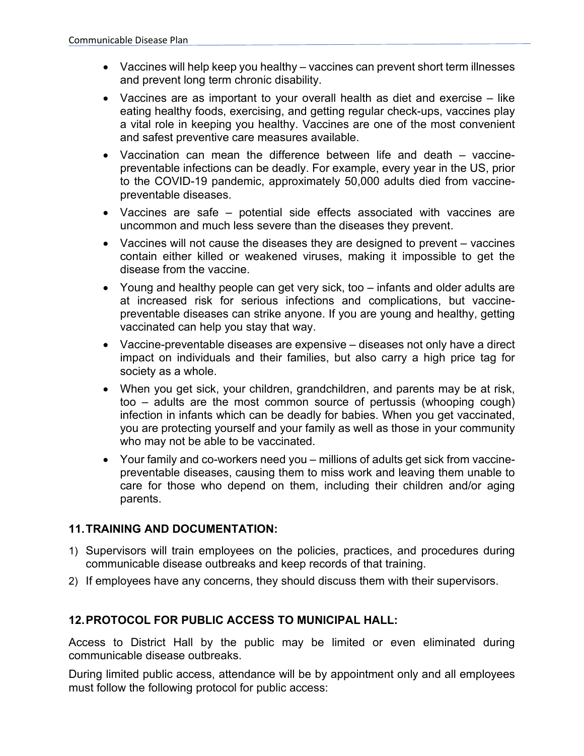- Vaccines will help keep you healthy vaccines can prevent short term illnesses and prevent long term chronic disability.
- Vaccines are as important to your overall health as diet and exercise like eating healthy foods, exercising, and getting regular check-ups, vaccines play a vital role in keeping you healthy. Vaccines are one of the most convenient and safest preventive care measures available.
- Vaccination can mean the difference between life and death vaccinepreventable infections can be deadly. For example, every year in the US, prior to the COVID-19 pandemic, approximately 50,000 adults died from vaccinepreventable diseases.
- Vaccines are safe potential side effects associated with vaccines are uncommon and much less severe than the diseases they prevent.
- Vaccines will not cause the diseases they are designed to prevent vaccines contain either killed or weakened viruses, making it impossible to get the disease from the vaccine.
- Young and healthy people can get very sick, too infants and older adults are at increased risk for serious infections and complications, but vaccinepreventable diseases can strike anyone. If you are young and healthy, getting vaccinated can help you stay that way.
- Vaccine-preventable diseases are expensive diseases not only have a direct impact on individuals and their families, but also carry a high price tag for society as a whole.
- When you get sick, your children, grandchildren, and parents may be at risk, too – adults are the most common source of pertussis (whooping cough) infection in infants which can be deadly for babies. When you get vaccinated, you are protecting yourself and your family as well as those in your community who may not be able to be vaccinated.
- Your family and co-workers need you millions of adults get sick from vaccinepreventable diseases, causing them to miss work and leaving them unable to care for those who depend on them, including their children and/or aging parents.

# **11.TRAINING AND DOCUMENTATION:**

- 1) Supervisors will train employees on the policies, practices, and procedures during communicable disease outbreaks and keep records of that training.
- 2) If employees have any concerns, they should discuss them with their supervisors.

# **12.PROTOCOL FOR PUBLIC ACCESS TO MUNICIPAL HALL:**

Access to District Hall by the public may be limited or even eliminated during communicable disease outbreaks.

During limited public access, attendance will be by appointment only and all employees must follow the following protocol for public access: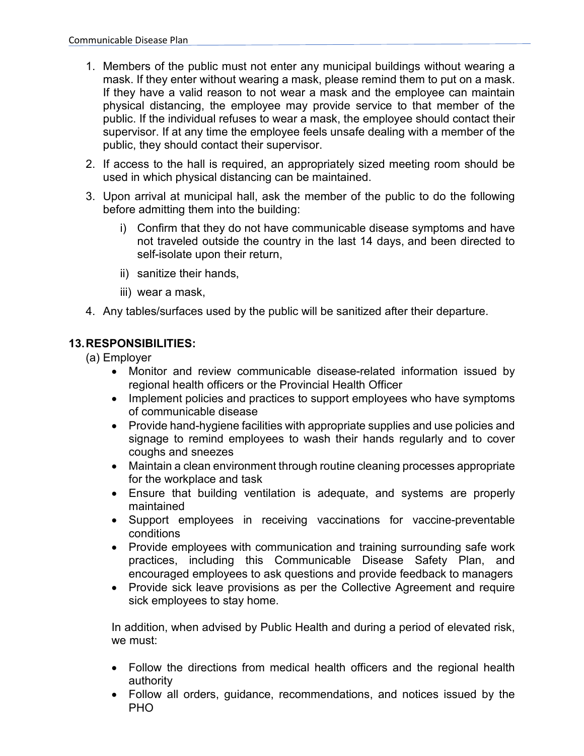- 1. Members of the public must not enter any municipal buildings without wearing a mask. If they enter without wearing a mask, please remind them to put on a mask. If they have a valid reason to not wear a mask and the employee can maintain physical distancing, the employee may provide service to that member of the public. If the individual refuses to wear a mask, the employee should contact their supervisor. If at any time the employee feels unsafe dealing with a member of the public, they should contact their supervisor.
- 2. If access to the hall is required, an appropriately sized meeting room should be used in which physical distancing can be maintained.
- 3. Upon arrival at municipal hall, ask the member of the public to do the following before admitting them into the building:
	- i) Confirm that they do not have communicable disease symptoms and have not traveled outside the country in the last 14 days, and been directed to self-isolate upon their return,
	- ii) sanitize their hands,
	- iii) wear a mask,
- 4. Any tables/surfaces used by the public will be sanitized after their departure.

# **13.RESPONSIBILITIES:**

(a) Employer

- Monitor and review communicable disease-related information issued by regional health officers or the Provincial Health Officer
- Implement policies and practices to support employees who have symptoms of communicable disease
- Provide hand-hygiene facilities with appropriate supplies and use policies and signage to remind employees to wash their hands regularly and to cover coughs and sneezes
- Maintain a clean environment through routine cleaning processes appropriate for the workplace and task
- Ensure that building ventilation is adequate, and systems are properly maintained
- Support employees in receiving vaccinations for vaccine-preventable conditions
- Provide employees with communication and training surrounding safe work practices, including this Communicable Disease Safety Plan, and encouraged employees to ask questions and provide feedback to managers
- Provide sick leave provisions as per the Collective Agreement and require sick employees to stay home.

In addition, when advised by Public Health and during a period of elevated risk, we must:

- Follow the directions from medical health officers and the regional health authority
- Follow all orders, guidance, recommendations, and notices issued by the PHO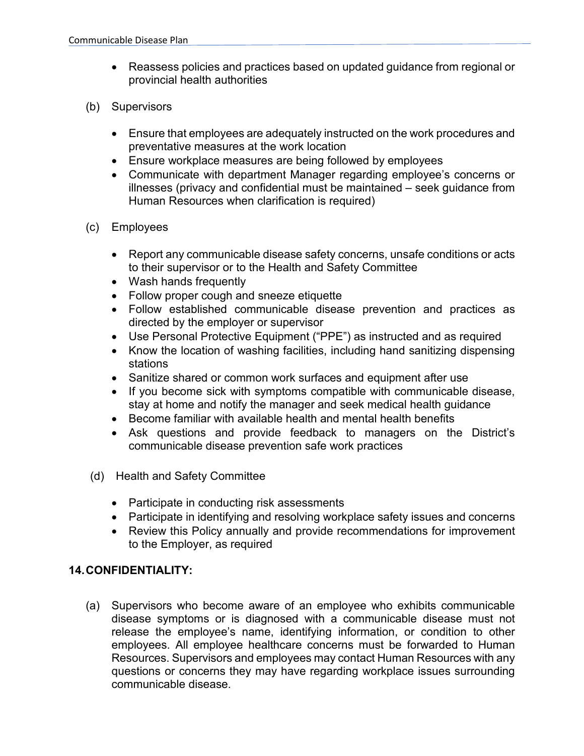- Reassess policies and practices based on updated guidance from regional or provincial health authorities
- (b) Supervisors
	- Ensure that employees are adequately instructed on the work procedures and preventative measures at the work location
	- Ensure workplace measures are being followed by employees
	- Communicate with department Manager regarding employee's concerns or illnesses (privacy and confidential must be maintained – seek guidance from Human Resources when clarification is required)
- (c) Employees
	- Report any communicable disease safety concerns, unsafe conditions or acts to their supervisor or to the Health and Safety Committee
	- Wash hands frequently
	- Follow proper cough and sneeze etiquette
	- Follow established communicable disease prevention and practices as directed by the employer or supervisor
	- Use Personal Protective Equipment ("PPE") as instructed and as required
	- Know the location of washing facilities, including hand sanitizing dispensing stations
	- Sanitize shared or common work surfaces and equipment after use
	- If you become sick with symptoms compatible with communicable disease, stay at home and notify the manager and seek medical health guidance
	- Become familiar with available health and mental health benefits
	- Ask questions and provide feedback to managers on the District's communicable disease prevention safe work practices
- (d) Health and Safety Committee
	- Participate in conducting risk assessments
	- Participate in identifying and resolving workplace safety issues and concerns
	- Review this Policy annually and provide recommendations for improvement to the Employer, as required

# **14.CONFIDENTIALITY:**

(a) Supervisors who become aware of an employee who exhibits communicable disease symptoms or is diagnosed with a communicable disease must not release the employee's name, identifying information, or condition to other employees. All employee healthcare concerns must be forwarded to Human Resources. Supervisors and employees may contact Human Resources with any questions or concerns they may have regarding workplace issues surrounding communicable disease.